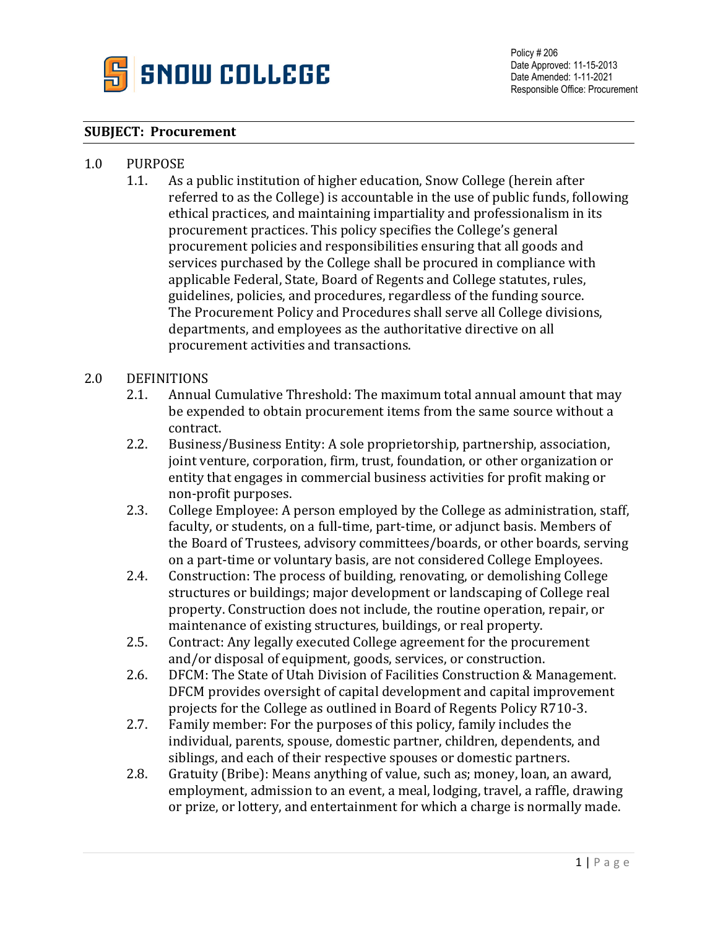

## **SUBJECT: Procurement**

## 1.0 PURPOSE<br>1.1. As

As a public institution of higher education, Snow College (herein after referred to as the College) is accountable in the use of public funds, following ethical practices, and maintaining impartiality and professionalism in its procurement practices. This policy specifies the College's general procurement policies and responsibilities ensuring that all goods and services purchased by the College shall be procured in compliance with applicable Federal, State, Board of Regents and College statutes, rules, guidelines, policies, and procedures, regardless of the funding source. The Procurement Policy and Procedures shall serve all College divisions, departments, and employees as the authoritative directive on all procurement activities and transactions.

## 2.0 DEFINITIONS<br>2.1. Annual

- 2.1. Annual Cumulative Threshold: The maximum total annual amount that may be expended to obtain procurement items from the same source without a contract.
- 2.2. Business/Business Entity: A sole proprietorship, partnership, association, joint venture, corporation, firm, trust, foundation, or other organization or entity that engages in commercial business activities for profit making or non-profit purposes.
- 2.3. College Employee: A person employed by the College as administration, staff, faculty, or students, on a full-time, part-time, or adjunct basis. Members of the Board of Trustees, advisory committees/boards, or other boards, serving on a part-time or voluntary basis, are not considered College Employees.
- 2.4. Construction: The process of building, renovating, or demolishing College structures or buildings; major development or landscaping of College real property. Construction does not include, the routine operation, repair, or maintenance of existing structures, buildings, or real property.
- 2.5. Contract: Any legally executed College agreement for the procurement and/or disposal of equipment, goods, services, or construction.
- 2.6. DFCM: The State of Utah Division of Facilities Construction & Management. DFCM provides oversight of capital development and capital improvement projects for the College as outlined in Board of Regents Policy R710-3.
- 2.7. Family member: For the purposes of this policy, family includes the individual, parents, spouse, domestic partner, children, dependents, and siblings, and each of their respective spouses or domestic partners.
- 2.8. Gratuity (Bribe): Means anything of value, such as; money, loan, an award, employment, admission to an event, a meal, lodging, travel, a raffle, drawing or prize, or lottery, and entertainment for which a charge is normally made.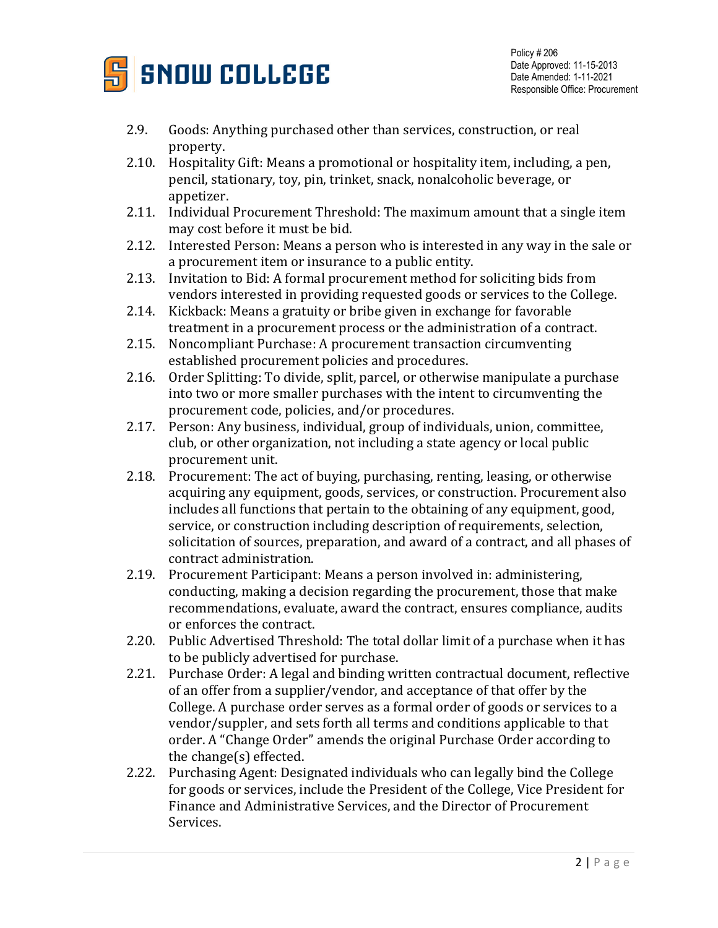

- 2.9. Goods: Anything purchased other than services, construction, or real property.
- 2.10. Hospitality Gift: Means a promotional or hospitality item, including, a pen, pencil, stationary, toy, pin, trinket, snack, nonalcoholic beverage, or appetizer.
- 2.11. Individual Procurement Threshold: The maximum amount that a single item may cost before it must be bid.
- 2.12. Interested Person: Means a person who is interested in any way in the sale or a procurement item or insurance to a public entity.
- 2.13. Invitation to Bid: A formal procurement method for soliciting bids from vendors interested in providing requested goods or services to the College.
- 2.14. Kickback: Means a gratuity or bribe given in exchange for favorable treatment in a procurement process or the administration of a contract.
- 2.15. Noncompliant Purchase: A procurement transaction circumventing established procurement policies and procedures.
- 2.16. Order Splitting: To divide, split, parcel, or otherwise manipulate a purchase into two or more smaller purchases with the intent to circumventing the procurement code, policies, and/or procedures.
- 2.17. Person: Any business, individual, group of individuals, union, committee, club, or other organization, not including a state agency or local public procurement unit.
- 2.18. Procurement: The act of buying, purchasing, renting, leasing, or otherwise acquiring any equipment, goods, services, or construction. Procurement also includes all functions that pertain to the obtaining of any equipment, good, service, or construction including description of requirements, selection, solicitation of sources, preparation, and award of a contract, and all phases of contract administration.
- 2.19. Procurement Participant: Means a person involved in: administering, conducting, making a decision regarding the procurement, those that make recommendations, evaluate, award the contract, ensures compliance, audits or enforces the contract.
- 2.20. Public Advertised Threshold: The total dollar limit of a purchase when it has to be publicly advertised for purchase.
- 2.21. Purchase Order: A legal and binding written contractual document, reflective of an offer from a supplier/vendor, and acceptance of that offer by the College. A purchase order serves as a formal order of goods or services to a vendor/suppler, and sets forth all terms and conditions applicable to that order. A "Change Order" amends the original Purchase Order according to the change(s) effected.
- 2.22. Purchasing Agent: Designated individuals who can legally bind the College for goods or services, include the President of the College, Vice President for Finance and Administrative Services, and the Director of Procurement Services.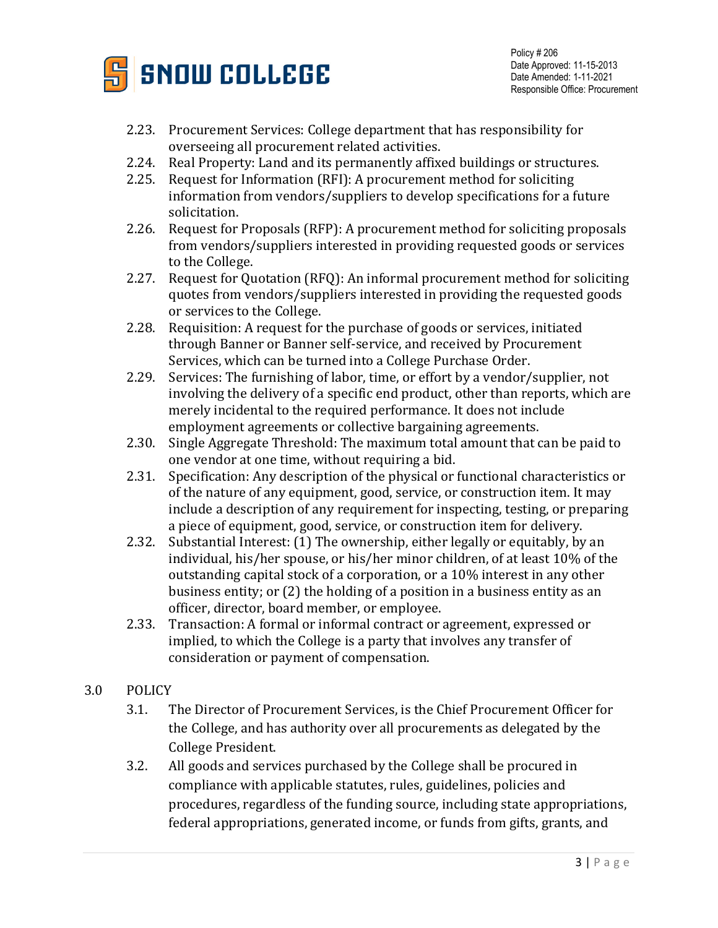

- 2.23. Procurement Services: College department that has responsibility for overseeing all procurement related activities.
- 2.24. Real Property: Land and its permanently affixed buildings or structures.<br>2.25. Request for Information (RFI): A procurement method for soliciting
- 2.25. Request for Information (RFI): A procurement method for soliciting information from vendors/suppliers to develop specifications for a future solicitation.
- 2.26. Request for Proposals (RFP): A procurement method for soliciting proposals from vendors/suppliers interested in providing requested goods or services to the College.
- 2.27. Request for Quotation (RFQ): An informal procurement method for soliciting quotes from vendors/suppliers interested in providing the requested goods or services to the College.
- 2.28. Requisition: A request for the purchase of goods or services, initiated through Banner or Banner self-service, and received by Procurement Services, which can be turned into a College Purchase Order.
- 2.29. Services: The furnishing of labor, time, or effort by a vendor/supplier, not involving the delivery of a specific end product, other than reports, which are merely incidental to the required performance. It does not include employment agreements or collective bargaining agreements.
- 2.30. Single Aggregate Threshold: The maximum total amount that can be paid to one vendor at one time, without requiring a bid.
- 2.31. Specification: Any description of the physical or functional characteristics or of the nature of any equipment, good, service, or construction item. It may include a description of any requirement for inspecting, testing, or preparing a piece of equipment, good, service, or construction item for delivery.
- 2.32. Substantial Interest: (1) The ownership, either legally or equitably, by an individual, his/her spouse, or his/her minor children, of at least 10% of the outstanding capital stock of a corporation, or a 10% interest in any other business entity; or (2) the holding of a position in a business entity as an officer, director, board member, or employee.
- 2.33. Transaction: A formal or informal contract or agreement, expressed or implied, to which the College is a party that involves any transfer of consideration or payment of compensation.
- 3.0 POLICY
	- 3.1. The Director of Procurement Services, is the Chief Procurement Officer for the College, and has authority over all procurements as delegated by the College President.
	- 3.2. All goods and services purchased by the College shall be procured in compliance with applicable statutes, rules, guidelines, policies and procedures, regardless of the funding source, including state appropriations, federal appropriations, generated income, or funds from gifts, grants, and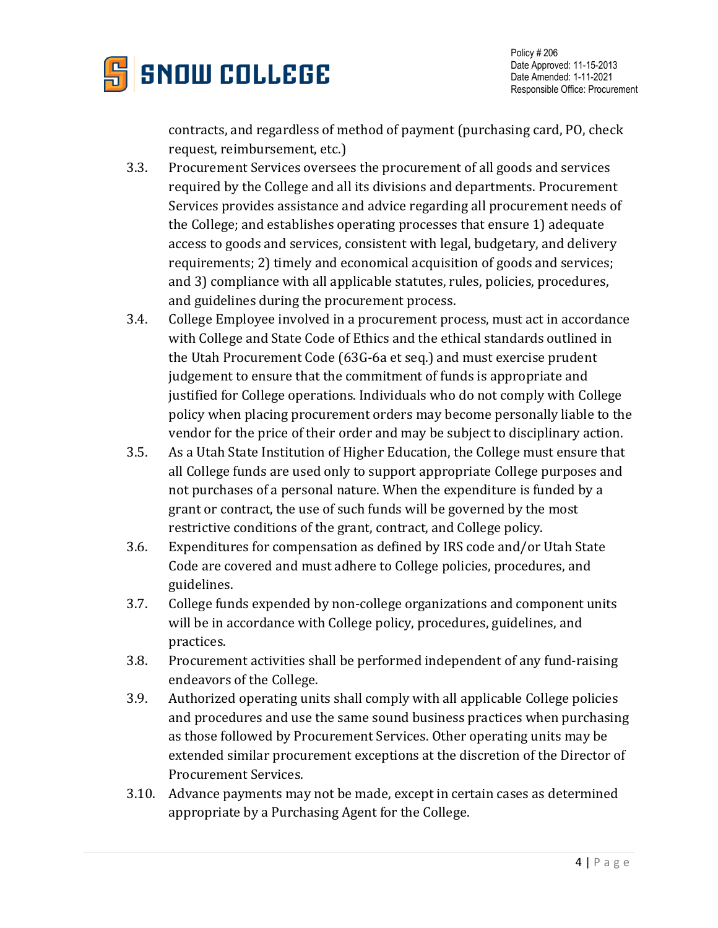

contracts, and regardless of method of payment (purchasing card, PO, check request, reimbursement, etc.)

- 3.3. Procurement Services oversees the procurement of all goods and services required by the College and all its divisions and departments. Procurement Services provides assistance and advice regarding all procurement needs of the College; and establishes operating processes that ensure 1) adequate access to goods and services, consistent with legal, budgetary, and delivery requirements; 2) timely and economical acquisition of goods and services; and 3) compliance with all applicable statutes, rules, policies, procedures, and guidelines during the procurement process.
- 3.4. College Employee involved in a procurement process, must act in accordance with College and State Code of Ethics and the ethical standards outlined in the Utah Procurement Code (63G-6a et seq.) and must exercise prudent judgement to ensure that the commitment of funds is appropriate and justified for College operations. Individuals who do not comply with College policy when placing procurement orders may become personally liable to the vendor for the price of their order and may be subject to disciplinary action.
- 3.5. As a Utah State Institution of Higher Education, the College must ensure that all College funds are used only to support appropriate College purposes and not purchases of a personal nature. When the expenditure is funded by a grant or contract, the use of such funds will be governed by the most restrictive conditions of the grant, contract, and College policy.
- 3.6. Expenditures for compensation as defined by IRS code and/or Utah State Code are covered and must adhere to College policies, procedures, and guidelines.
- 3.7. College funds expended by non-college organizations and component units will be in accordance with College policy, procedures, guidelines, and practices.
- 3.8. Procurement activities shall be performed independent of any fund-raising endeavors of the College.
- 3.9. Authorized operating units shall comply with all applicable College policies and procedures and use the same sound business practices when purchasing as those followed by Procurement Services. Other operating units may be extended similar procurement exceptions at the discretion of the Director of Procurement Services.
- 3.10. Advance payments may not be made, except in certain cases as determined appropriate by a Purchasing Agent for the College.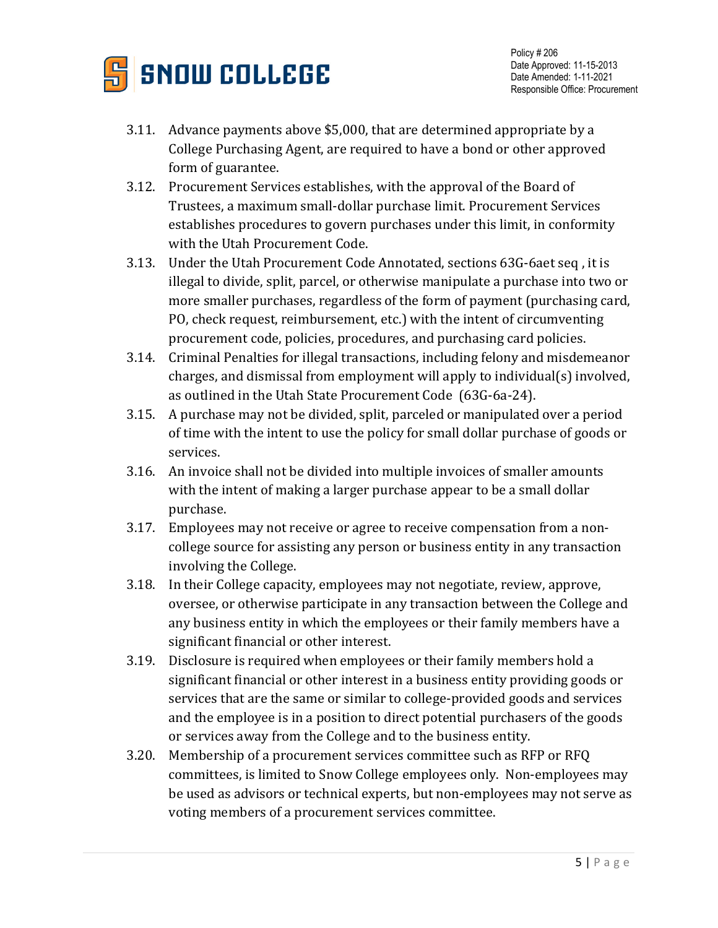

- 3.11. Advance payments above \$5,000, that are determined appropriate by a College Purchasing Agent, are required to have a bond or other approved form of guarantee.
- 3.12. Procurement Services establishes, with the approval of the Board of Trustees, a maximum small-dollar purchase limit. Procurement Services establishes procedures to govern purchases under this limit, in conformity with the Utah Procurement Code.
- 3.13. Under the Utah Procurement Code Annotated, sections 63G-6aet seq , it is illegal to divide, split, parcel, or otherwise manipulate a purchase into two or more smaller purchases, regardless of the form of payment (purchasing card, PO, check request, reimbursement, etc.) with the intent of circumventing procurement code, policies, procedures, and purchasing card policies.
- 3.14. Criminal Penalties for illegal transactions, including felony and misdemeanor charges, and dismissal from employment will apply to individual(s) involved, as outlined in the Utah State Procurement Code (63G-6a-24).
- 3.15. A purchase may not be divided, split, parceled or manipulated over a period of time with the intent to use the policy for small dollar purchase of goods or services.
- 3.16. An invoice shall not be divided into multiple invoices of smaller amounts with the intent of making a larger purchase appear to be a small dollar purchase.
- 3.17. Employees may not receive or agree to receive compensation from a noncollege source for assisting any person or business entity in any transaction involving the College.
- 3.18. In their College capacity, employees may not negotiate, review, approve, oversee, or otherwise participate in any transaction between the College and any business entity in which the employees or their family members have a significant financial or other interest.
- 3.19. Disclosure is required when employees or their family members hold a significant financial or other interest in a business entity providing goods or services that are the same or similar to college-provided goods and services and the employee is in a position to direct potential purchasers of the goods or services away from the College and to the business entity.
- 3.20. Membership of a procurement services committee such as RFP or RFQ committees, is limited to Snow College employees only. Non-employees may be used as advisors or technical experts, but non-employees may not serve as voting members of a procurement services committee.